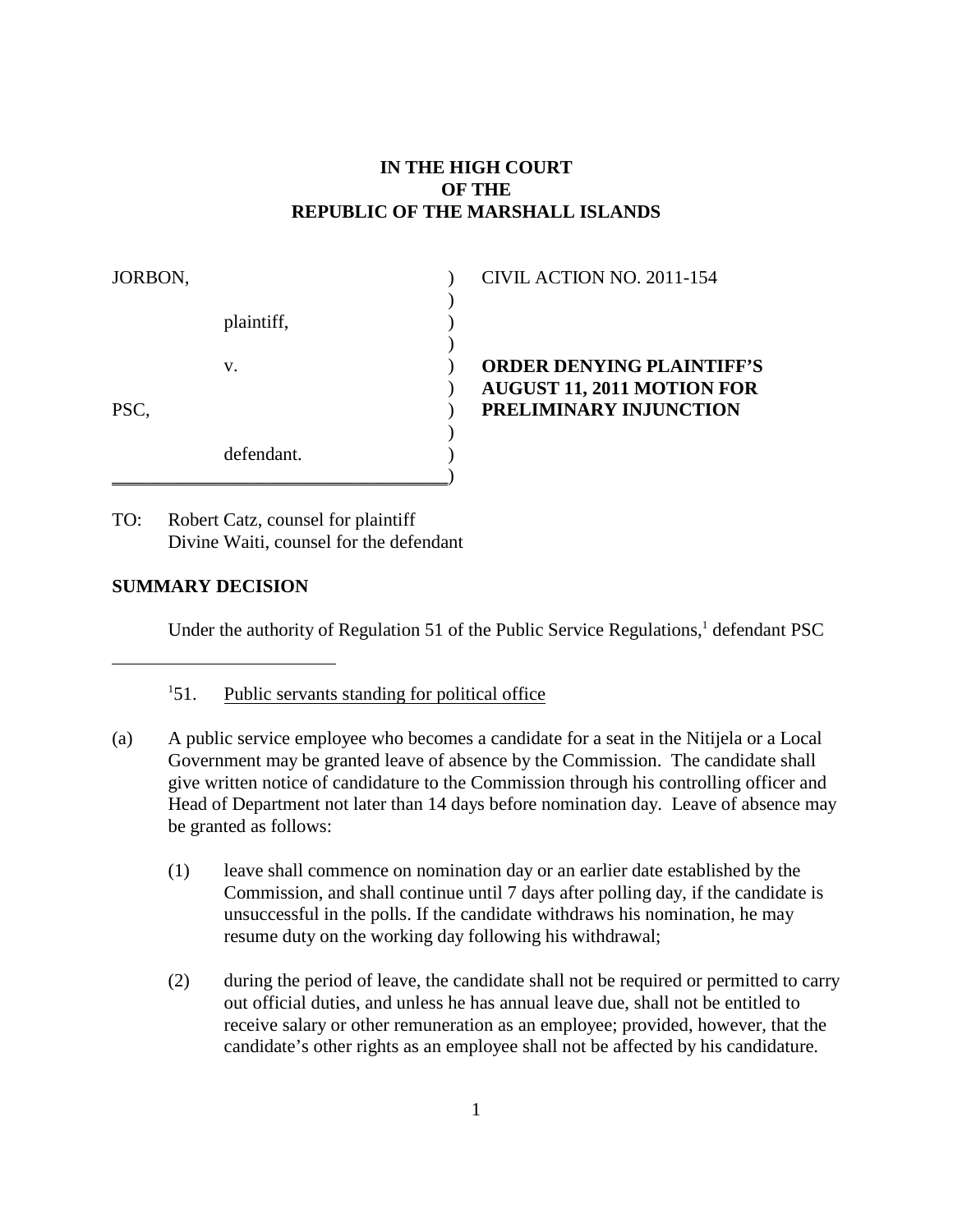# **IN THE HIGH COURT OF THE REPUBLIC OF THE MARSHALL ISLANDS**

| JORBON, |            | CIVIL ACTION NO. 2011-154         |  |
|---------|------------|-----------------------------------|--|
|         |            |                                   |  |
|         | plaintiff, |                                   |  |
|         |            |                                   |  |
|         | v.         | <b>ORDER DENYING PLAINTIFF'S</b>  |  |
|         |            | <b>AUGUST 11, 2011 MOTION FOR</b> |  |
| PSC,    |            | PRELIMINARY INJUNCTION            |  |
|         |            |                                   |  |
|         | defendant. |                                   |  |
|         |            |                                   |  |

TO: Robert Catz, counsel for plaintiff Divine Waiti, counsel for the defendant

# **SUMMARY DECISION**

Under the authority of Regulation 51 of the Public Service Regulations, $<sup>1</sup>$  defendant PSC</sup>

- $151.$  Public servants standing for political office
- (a) A public service employee who becomes a candidate for a seat in the Nitijela or a Local Government may be granted leave of absence by the Commission. The candidate shall give written notice of candidature to the Commission through his controlling officer and Head of Department not later than 14 days before nomination day. Leave of absence may be granted as follows:
	- (1) leave shall commence on nomination day or an earlier date established by the Commission, and shall continue until 7 days after polling day, if the candidate is unsuccessful in the polls. If the candidate withdraws his nomination, he may resume duty on the working day following his withdrawal;
	- (2) during the period of leave, the candidate shall not be required or permitted to carry out official duties, and unless he has annual leave due, shall not be entitled to receive salary or other remuneration as an employee; provided, however, that the candidate's other rights as an employee shall not be affected by his candidature.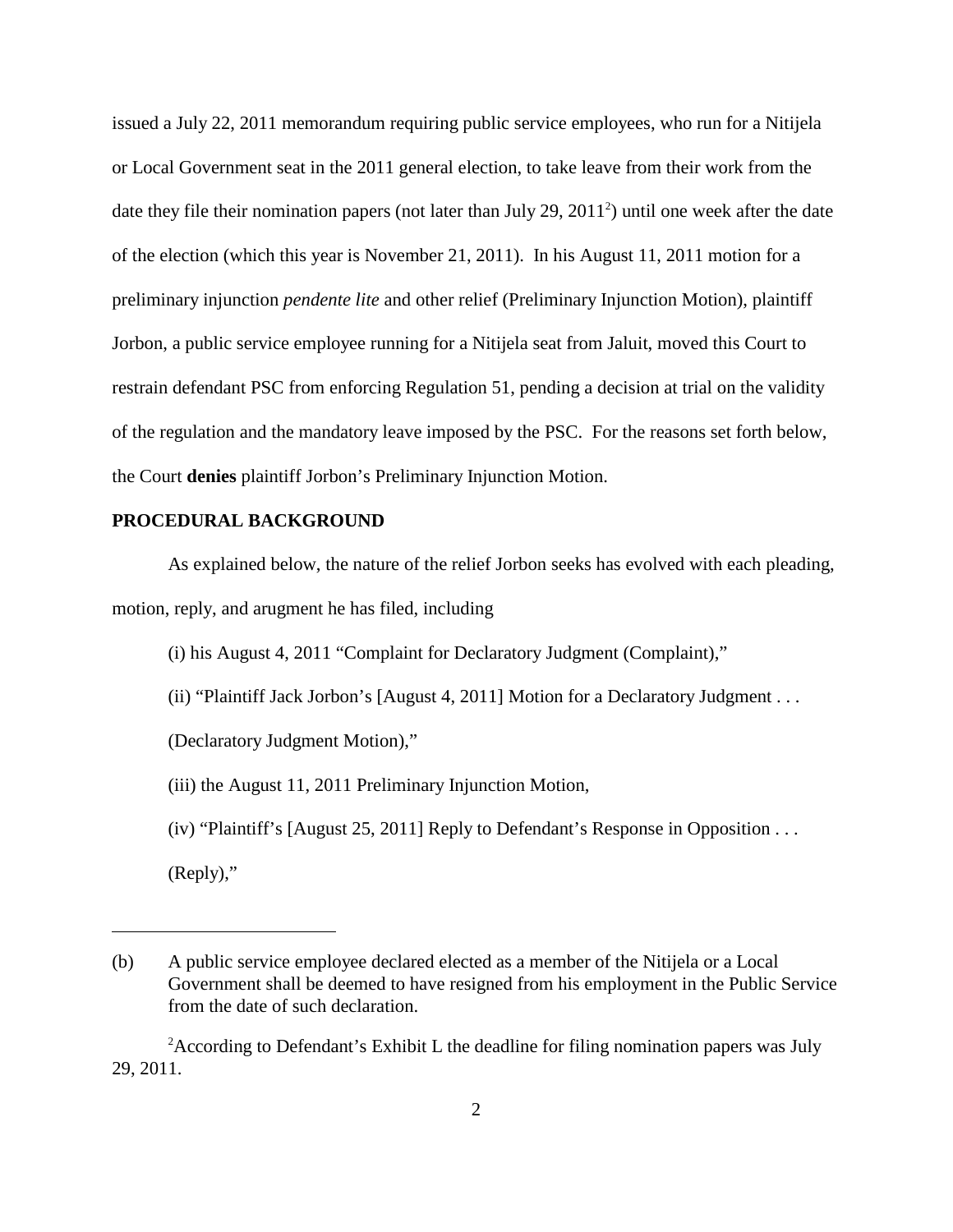issued a July 22, 2011 memorandum requiring public service employees, who run for a Nitijela or Local Government seat in the 2011 general election, to take leave from their work from the date they file their nomination papers (not later than July 29,  $2011<sup>2</sup>$ ) until one week after the date of the election (which this year is November 21, 2011). In his August 11, 2011 motion for a preliminary injunction *pendente lite* and other relief (Preliminary Injunction Motion), plaintiff Jorbon, a public service employee running for a Nitijela seat from Jaluit, moved this Court to restrain defendant PSC from enforcing Regulation 51, pending a decision at trial on the validity of the regulation and the mandatory leave imposed by the PSC. For the reasons set forth below, the Court **denies** plaintiff Jorbon's Preliminary Injunction Motion.

#### **PROCEDURAL BACKGROUND**

As explained below, the nature of the relief Jorbon seeks has evolved with each pleading, motion, reply, and arugment he has filed, including

(i) his August 4, 2011 "Complaint for Declaratory Judgment (Complaint),"

(ii) "Plaintiff Jack Jorbon's [August 4, 2011] Motion for a Declaratory Judgment . . .

(Declaratory Judgment Motion),"

(iii) the August 11, 2011 Preliminary Injunction Motion,

(iv) "Plaintiff's [August 25, 2011] Reply to Defendant's Response in Opposition . . .

(Reply),"

<sup>(</sup>b) A public service employee declared elected as a member of the Nitijela or a Local Government shall be deemed to have resigned from his employment in the Public Service from the date of such declaration.

 $A$ ccording to Defendant's Exhibit L the deadline for filing nomination papers was July 29, 2011.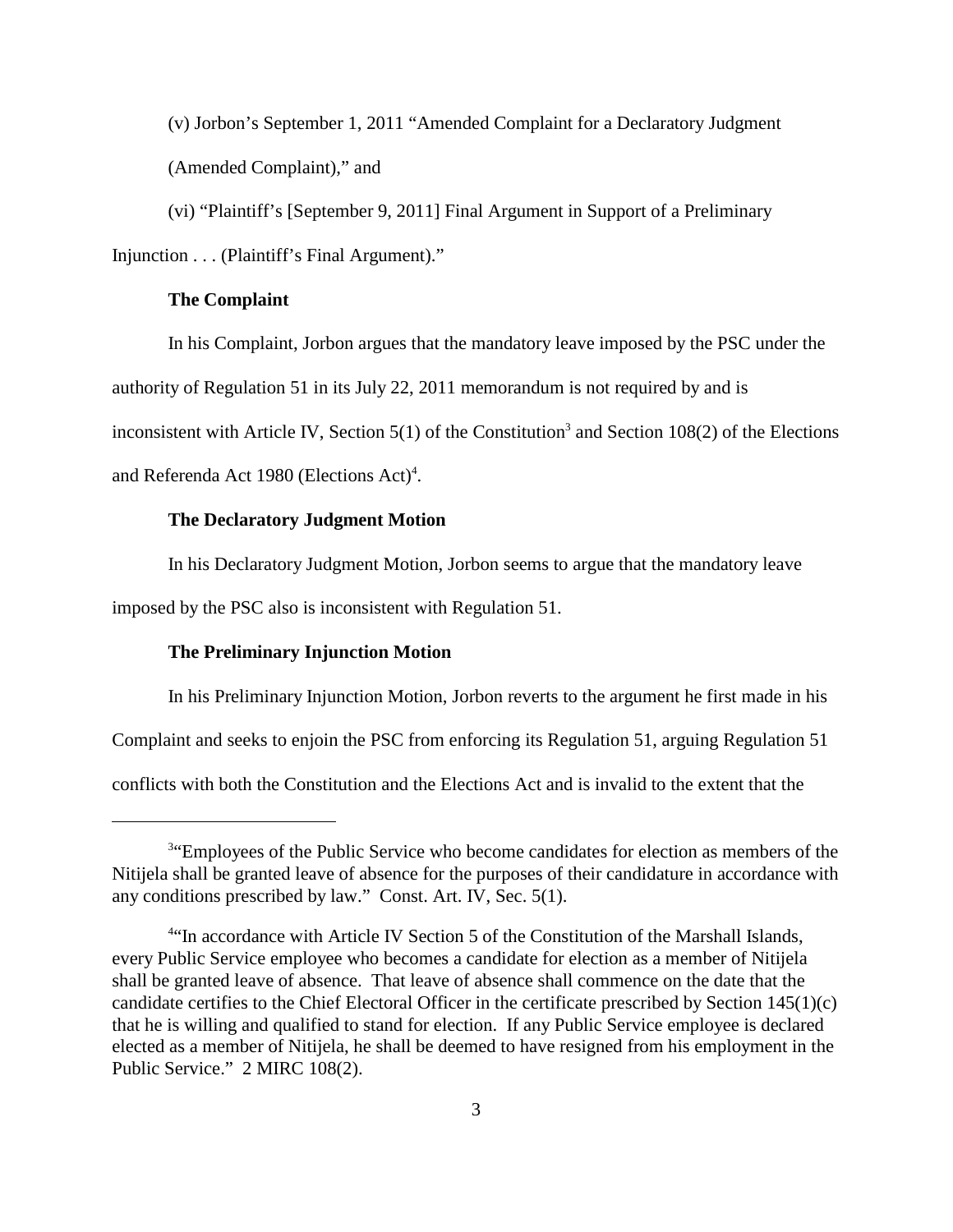(v) Jorbon's September 1, 2011 "Amended Complaint for a Declaratory Judgment (Amended Complaint)," and

(vi) "Plaintiff's [September 9, 2011] Final Argument in Support of a Preliminary Injunction . . . (Plaintiff's Final Argument)."

### **The Complaint**

In his Complaint, Jorbon argues that the mandatory leave imposed by the PSC under the

authority of Regulation 51 in its July 22, 2011 memorandum is not required by and is

inconsistent with Article IV, Section 5(1) of the Constitution<sup>3</sup> and Section 108(2) of the Elections

and Referenda Act 1980 (Elections Act)<sup>4</sup>.

### **The Declaratory Judgment Motion**

In his Declaratory Judgment Motion, Jorbon seems to argue that the mandatory leave

imposed by the PSC also is inconsistent with Regulation 51.

## **The Preliminary Injunction Motion**

In his Preliminary Injunction Motion, Jorbon reverts to the argument he first made in his

Complaint and seeks to enjoin the PSC from enforcing its Regulation 51, arguing Regulation 51

conflicts with both the Constitution and the Elections Act and is invalid to the extent that the

<sup>&</sup>lt;sup>3"</sup>Employees of the Public Service who become candidates for election as members of the Nitijela shall be granted leave of absence for the purposes of their candidature in accordance with any conditions prescribed by law." Const. Art. IV, Sec. 5(1).

<sup>&</sup>lt;sup>4"</sup>In accordance with Article IV Section 5 of the Constitution of the Marshall Islands, every Public Service employee who becomes a candidate for election as a member of Nitijela shall be granted leave of absence. That leave of absence shall commence on the date that the candidate certifies to the Chief Electoral Officer in the certificate prescribed by Section 145(1)(c) that he is willing and qualified to stand for election. If any Public Service employee is declared elected as a member of Nitijela, he shall be deemed to have resigned from his employment in the Public Service." 2 MIRC 108(2).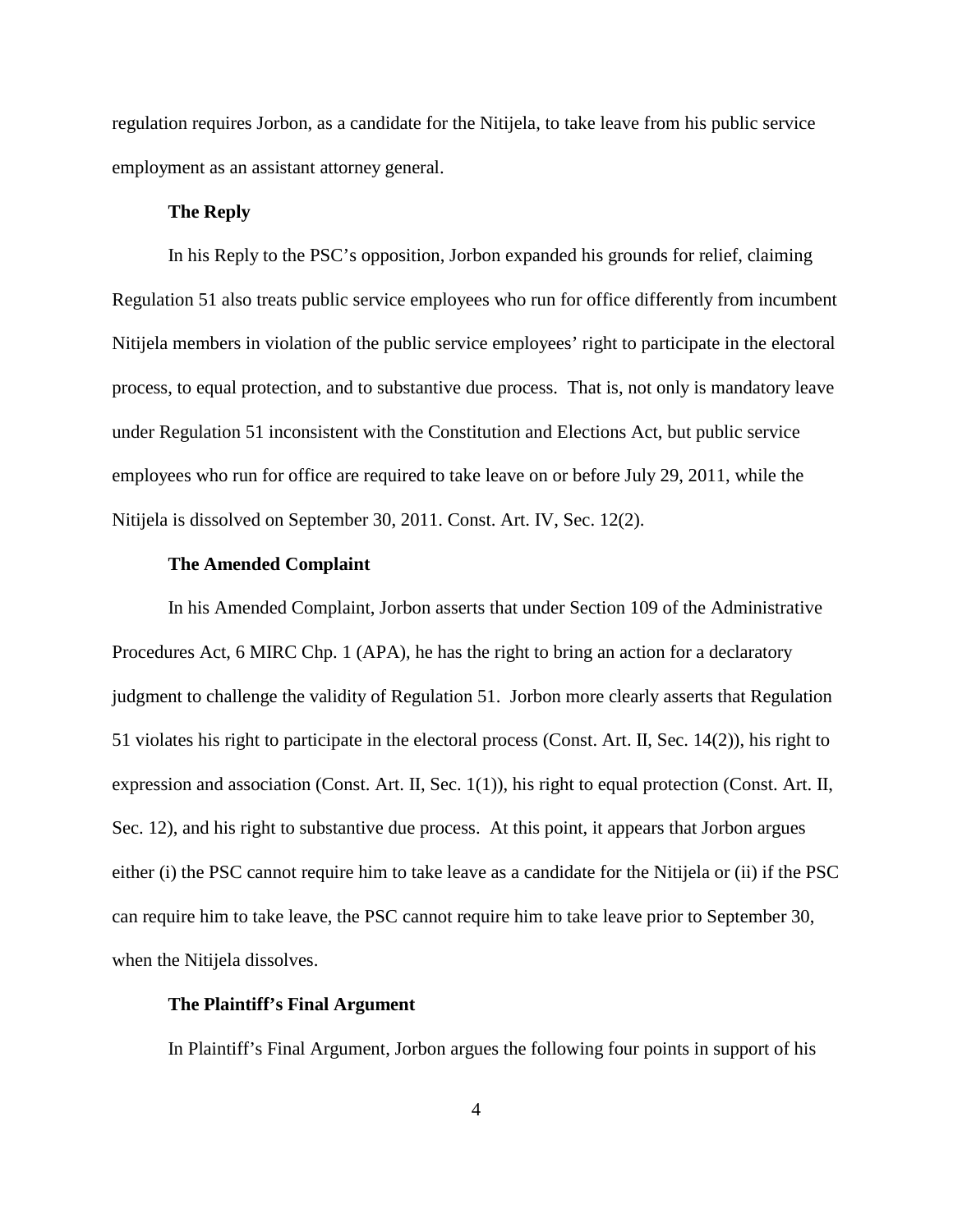regulation requires Jorbon, as a candidate for the Nitijela, to take leave from his public service employment as an assistant attorney general.

### **The Reply**

In his Reply to the PSC's opposition, Jorbon expanded his grounds for relief, claiming Regulation 51 also treats public service employees who run for office differently from incumbent Nitijela members in violation of the public service employees' right to participate in the electoral process, to equal protection, and to substantive due process. That is, not only is mandatory leave under Regulation 51 inconsistent with the Constitution and Elections Act, but public service employees who run for office are required to take leave on or before July 29, 2011, while the Nitijela is dissolved on September 30, 2011. Const. Art. IV, Sec. 12(2).

# **The Amended Complaint**

In his Amended Complaint, Jorbon asserts that under Section 109 of the Administrative Procedures Act, 6 MIRC Chp. 1 (APA), he has the right to bring an action for a declaratory judgment to challenge the validity of Regulation 51. Jorbon more clearly asserts that Regulation 51 violates his right to participate in the electoral process (Const. Art. II, Sec. 14(2)), his right to expression and association (Const. Art. II, Sec. 1(1)), his right to equal protection (Const. Art. II, Sec. 12), and his right to substantive due process. At this point, it appears that Jorbon argues either (i) the PSC cannot require him to take leave as a candidate for the Nitijela or (ii) if the PSC can require him to take leave, the PSC cannot require him to take leave prior to September 30, when the Nitijela dissolves.

### **The Plaintiff's Final Argument**

In Plaintiff's Final Argument, Jorbon argues the following four points in support of his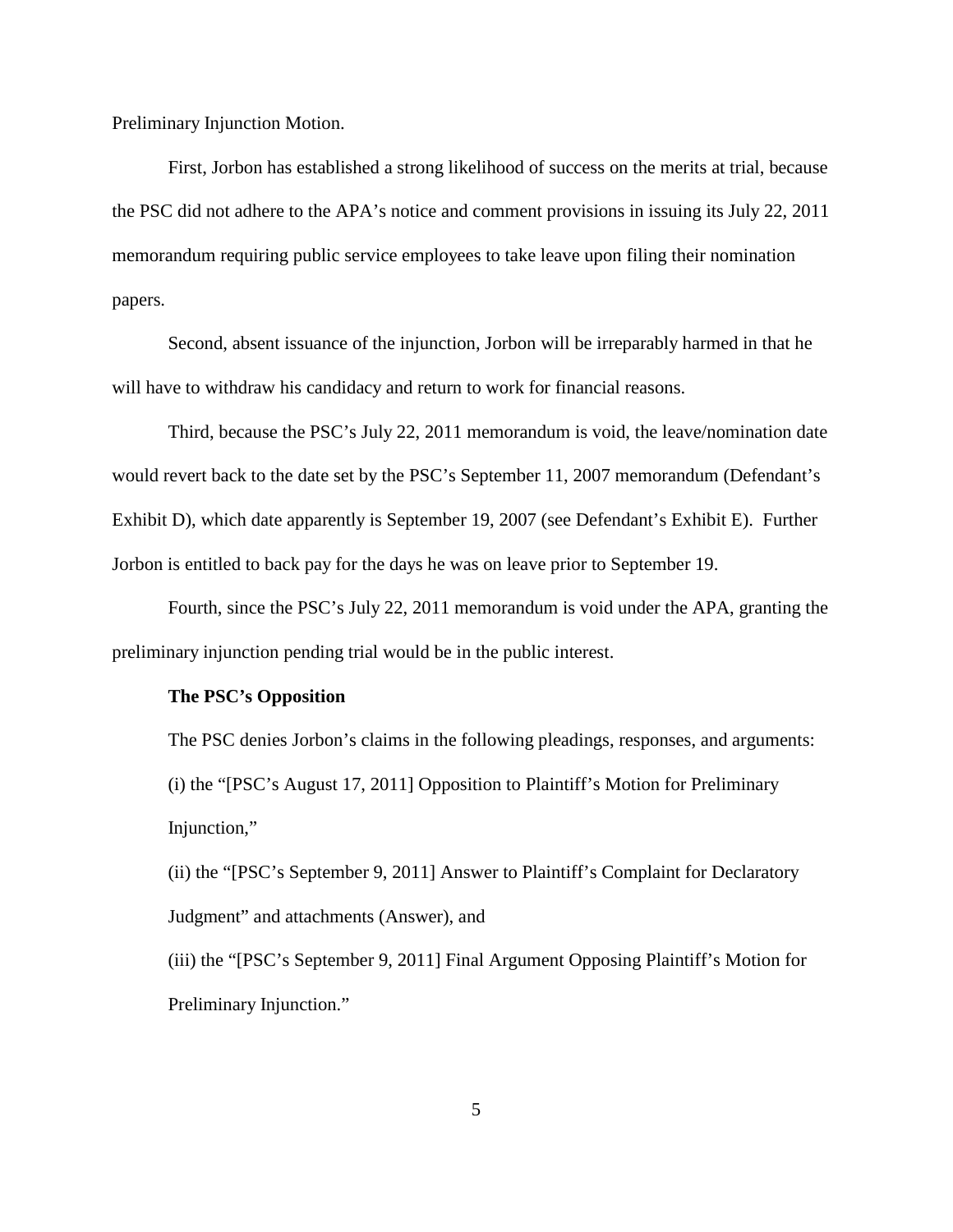Preliminary Injunction Motion.

First, Jorbon has established a strong likelihood of success on the merits at trial, because the PSC did not adhere to the APA's notice and comment provisions in issuing its July 22, 2011 memorandum requiring public service employees to take leave upon filing their nomination papers.

Second, absent issuance of the injunction, Jorbon will be irreparably harmed in that he will have to withdraw his candidacy and return to work for financial reasons.

Third, because the PSC's July 22, 2011 memorandum is void, the leave/nomination date would revert back to the date set by the PSC's September 11, 2007 memorandum (Defendant's Exhibit D), which date apparently is September 19, 2007 (see Defendant's Exhibit E). Further Jorbon is entitled to back pay for the days he was on leave prior to September 19.

Fourth, since the PSC's July 22, 2011 memorandum is void under the APA, granting the preliminary injunction pending trial would be in the public interest.

## **The PSC's Opposition**

The PSC denies Jorbon's claims in the following pleadings, responses, and arguments: (i) the "[PSC's August 17, 2011] Opposition to Plaintiff's Motion for Preliminary Injunction,"

(ii) the "[PSC's September 9, 2011] Answer to Plaintiff's Complaint for Declaratory Judgment" and attachments (Answer), and

(iii) the "[PSC's September 9, 2011] Final Argument Opposing Plaintiff's Motion for Preliminary Injunction."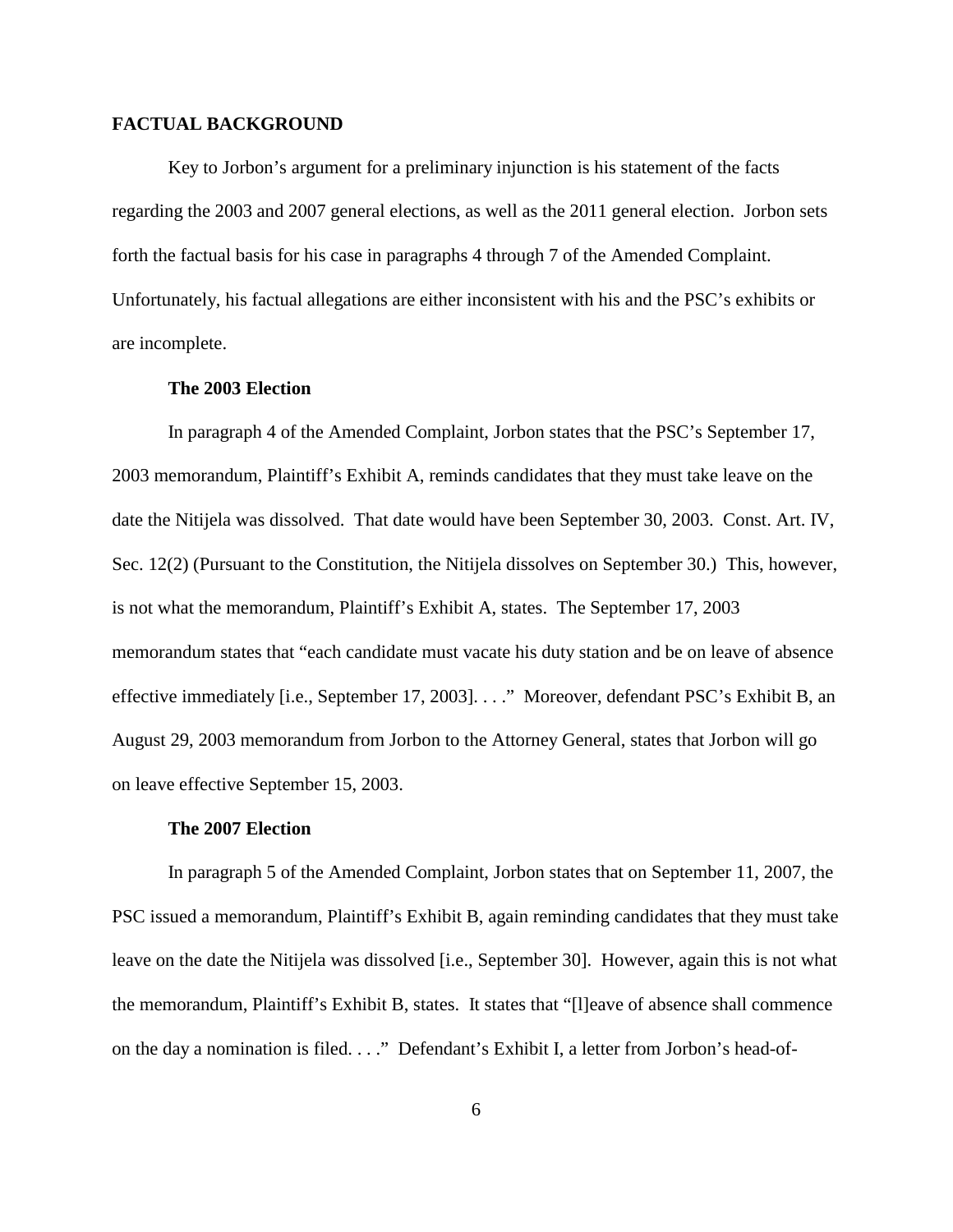### **FACTUAL BACKGROUND**

Key to Jorbon's argument for a preliminary injunction is his statement of the facts regarding the 2003 and 2007 general elections, as well as the 2011 general election. Jorbon sets forth the factual basis for his case in paragraphs 4 through 7 of the Amended Complaint. Unfortunately, his factual allegations are either inconsistent with his and the PSC's exhibits or are incomplete.

## **The 2003 Election**

In paragraph 4 of the Amended Complaint, Jorbon states that the PSC's September 17, 2003 memorandum, Plaintiff's Exhibit A, reminds candidates that they must take leave on the date the Nitijela was dissolved. That date would have been September 30, 2003. Const. Art. IV, Sec. 12(2) (Pursuant to the Constitution, the Nitijela dissolves on September 30.) This, however, is not what the memorandum, Plaintiff's Exhibit A, states. The September 17, 2003 memorandum states that "each candidate must vacate his duty station and be on leave of absence effective immediately [i.e., September 17, 2003]. . . ." Moreover, defendant PSC's Exhibit B, an August 29, 2003 memorandum from Jorbon to the Attorney General, states that Jorbon will go on leave effective September 15, 2003.

#### **The 2007 Election**

In paragraph 5 of the Amended Complaint, Jorbon states that on September 11, 2007, the PSC issued a memorandum, Plaintiff's Exhibit B, again reminding candidates that they must take leave on the date the Nitijela was dissolved [i.e., September 30]. However, again this is not what the memorandum, Plaintiff's Exhibit B, states. It states that "[l]eave of absence shall commence on the day a nomination is filed. . . ." Defendant's Exhibit I, a letter from Jorbon's head-of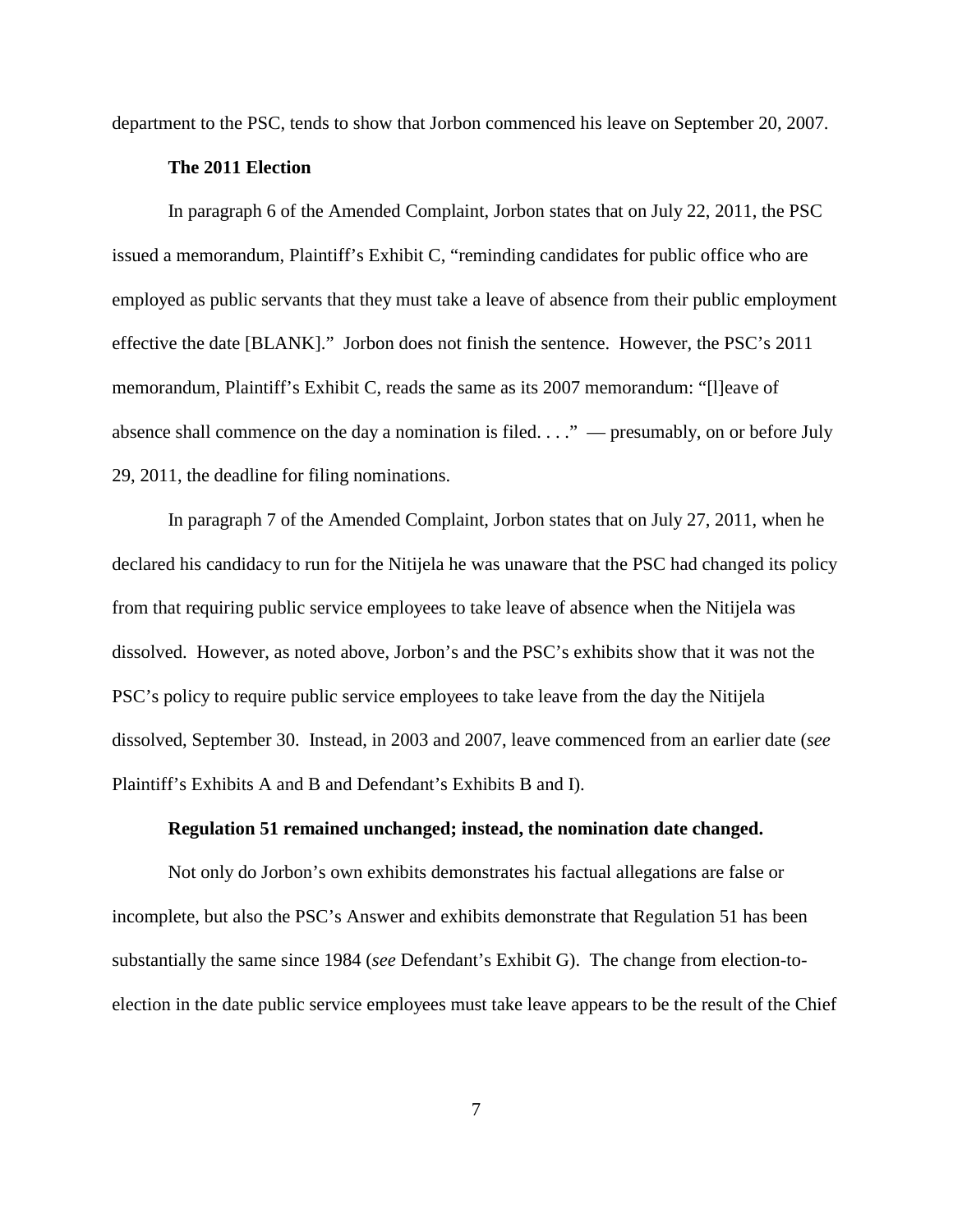department to the PSC, tends to show that Jorbon commenced his leave on September 20, 2007.

#### **The 2011 Election**

In paragraph 6 of the Amended Complaint, Jorbon states that on July 22, 2011, the PSC issued a memorandum, Plaintiff's Exhibit C, "reminding candidates for public office who are employed as public servants that they must take a leave of absence from their public employment effective the date [BLANK]." Jorbon does not finish the sentence. However, the PSC's 2011 memorandum, Plaintiff's Exhibit C, reads the same as its 2007 memorandum: "[l]eave of absence shall commence on the day a nomination is filed.  $\dots$  " — presumably, on or before July 29, 2011, the deadline for filing nominations.

In paragraph 7 of the Amended Complaint, Jorbon states that on July 27, 2011, when he declared his candidacy to run for the Nitijela he was unaware that the PSC had changed its policy from that requiring public service employees to take leave of absence when the Nitijela was dissolved. However, as noted above, Jorbon's and the PSC's exhibits show that it was not the PSC's policy to require public service employees to take leave from the day the Nitijela dissolved, September 30. Instead, in 2003 and 2007, leave commenced from an earlier date (*see* Plaintiff's Exhibits A and B and Defendant's Exhibits B and I).

#### **Regulation 51 remained unchanged; instead, the nomination date changed.**

Not only do Jorbon's own exhibits demonstrates his factual allegations are false or incomplete, but also the PSC's Answer and exhibits demonstrate that Regulation 51 has been substantially the same since 1984 (*see* Defendant's Exhibit G). The change from election-toelection in the date public service employees must take leave appears to be the result of the Chief

7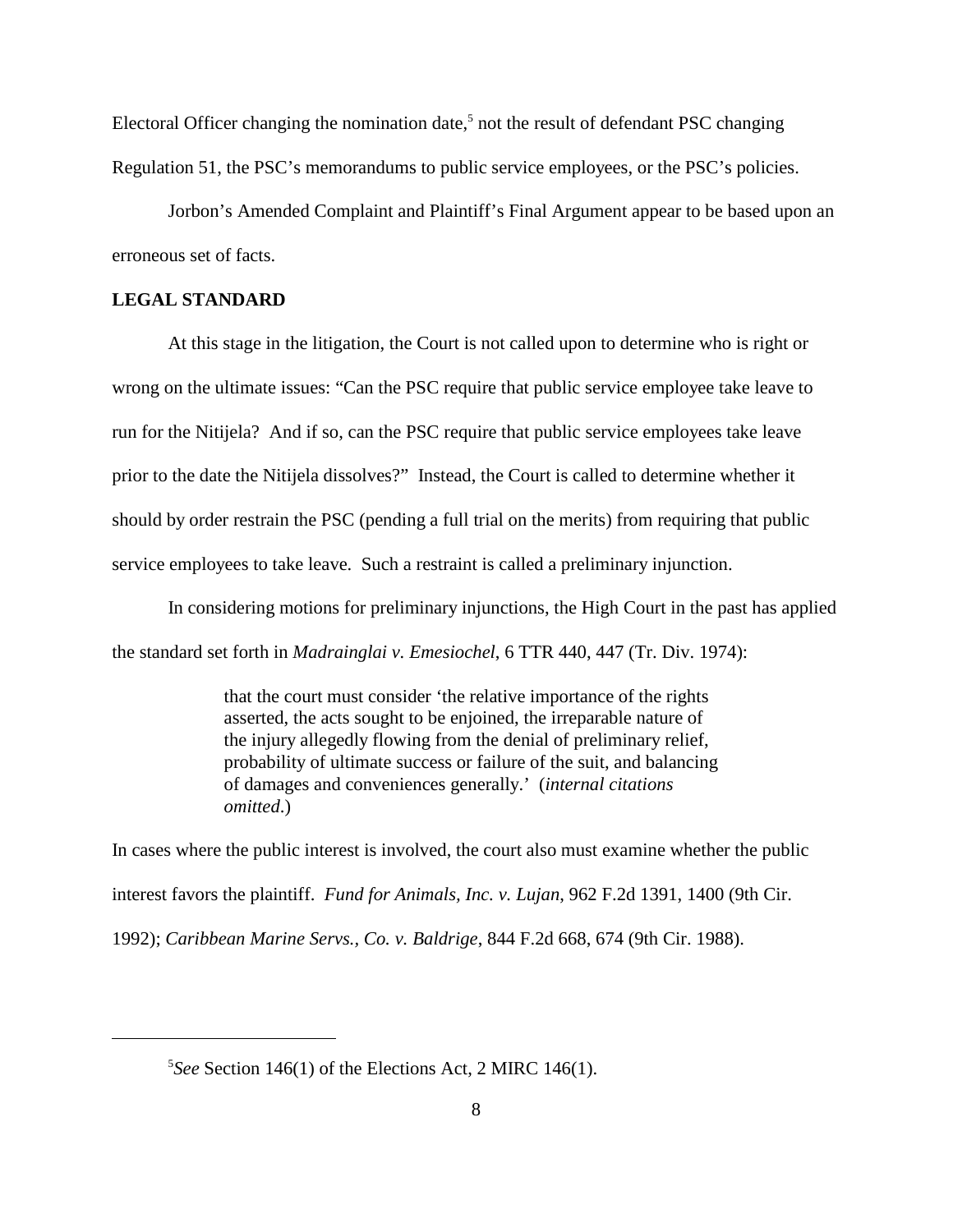Electoral Officer changing the nomination date,<sup>5</sup> not the result of defendant PSC changing Regulation 51, the PSC's memorandums to public service employees, or the PSC's policies.

Jorbon's Amended Complaint and Plaintiff's Final Argument appear to be based upon an erroneous set of facts.

# **LEGAL STANDARD**

At this stage in the litigation, the Court is not called upon to determine who is right or wrong on the ultimate issues: "Can the PSC require that public service employee take leave to run for the Nitijela? And if so, can the PSC require that public service employees take leave prior to the date the Nitijela dissolves?" Instead, the Court is called to determine whether it should by order restrain the PSC (pending a full trial on the merits) from requiring that public service employees to take leave. Such a restraint is called a preliminary injunction.

In considering motions for preliminary injunctions, the High Court in the past has applied the standard set forth in *Madrainglai v. Emesiochel*, 6 TTR 440, 447 (Tr. Div. 1974):

> that the court must consider 'the relative importance of the rights asserted, the acts sought to be enjoined, the irreparable nature of the injury allegedly flowing from the denial of preliminary relief, probability of ultimate success or failure of the suit, and balancing of damages and conveniences generally.' (*internal citations omitted*.)

In cases where the public interest is involved, the court also must examine whether the public interest favors the plaintiff. *Fund for Animals, Inc. v. Lujan*, 962 F.2d 1391, 1400 (9th Cir. 1992); *Caribbean Marine Servs., Co. v. Baldrige*, 844 F.2d 668, 674 (9th Cir. 1988).

<sup>&</sup>lt;sup>5</sup>See Section 146(1) of the Elections Act, 2 MIRC 146(1).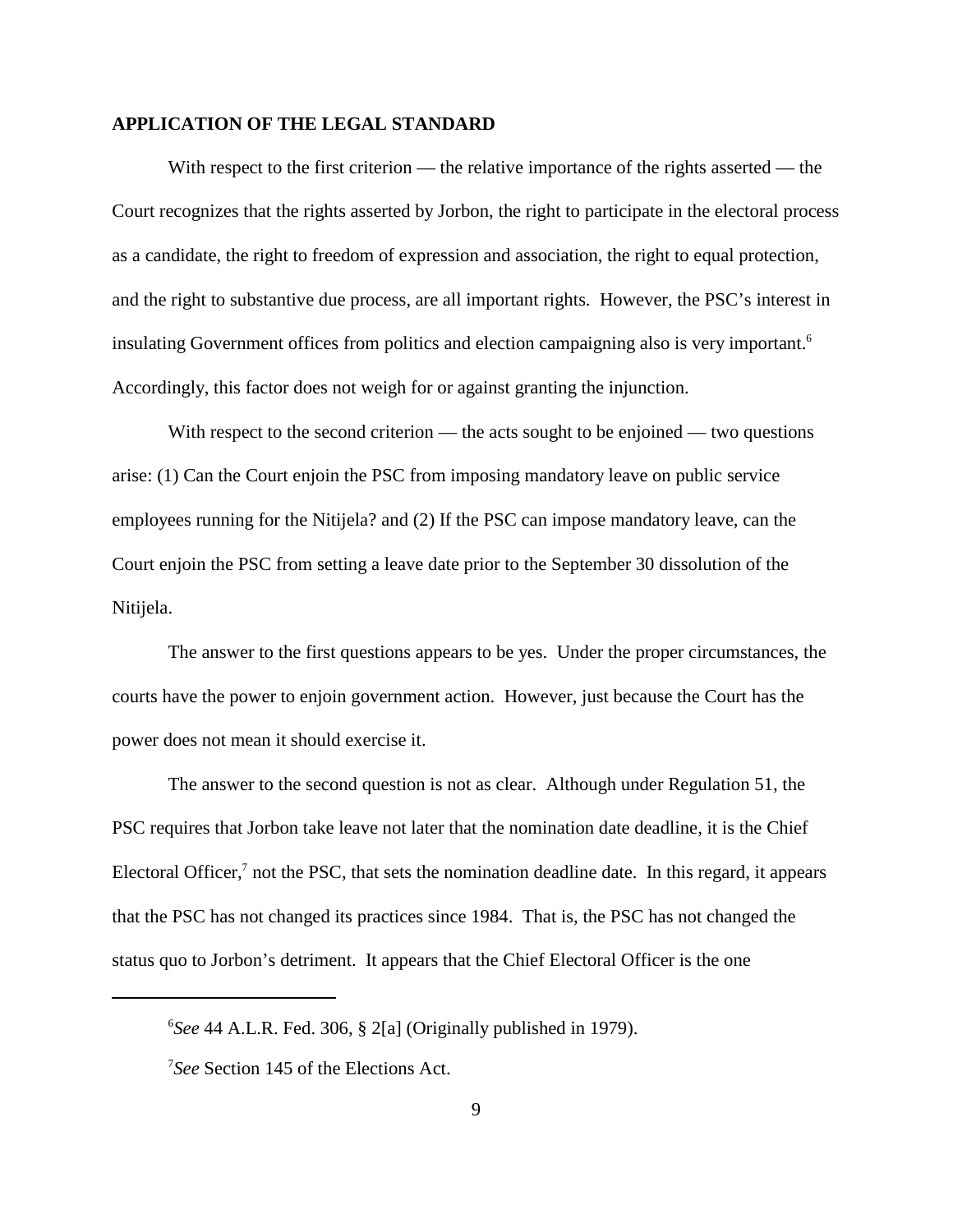#### **APPLICATION OF THE LEGAL STANDARD**

With respect to the first criterion — the relative importance of the rights asserted — the Court recognizes that the rights asserted by Jorbon, the right to participate in the electoral process as a candidate, the right to freedom of expression and association, the right to equal protection, and the right to substantive due process, are all important rights. However, the PSC's interest in insulating Government offices from politics and election campaigning also is very important.<sup>6</sup> Accordingly, this factor does not weigh for or against granting the injunction.

With respect to the second criterion — the acts sought to be enjoined — two questions arise: (1) Can the Court enjoin the PSC from imposing mandatory leave on public service employees running for the Nitijela? and (2) If the PSC can impose mandatory leave, can the Court enjoin the PSC from setting a leave date prior to the September 30 dissolution of the Nitijela.

The answer to the first questions appears to be yes. Under the proper circumstances, the courts have the power to enjoin government action. However, just because the Court has the power does not mean it should exercise it.

The answer to the second question is not as clear. Although under Regulation 51, the PSC requires that Jorbon take leave not later that the nomination date deadline, it is the Chief Electoral Officer, $\frac{7}{1}$  not the PSC, that sets the nomination deadline date. In this regard, it appears that the PSC has not changed its practices since 1984. That is, the PSC has not changed the status quo to Jorbon's detriment. It appears that the Chief Electoral Officer is the one

 ${}^{6}$ See 44 A.L.R. Fed. 306, § 2[a] (Originally published in 1979).

<sup>&</sup>lt;sup>7</sup>See Section 145 of the Elections Act.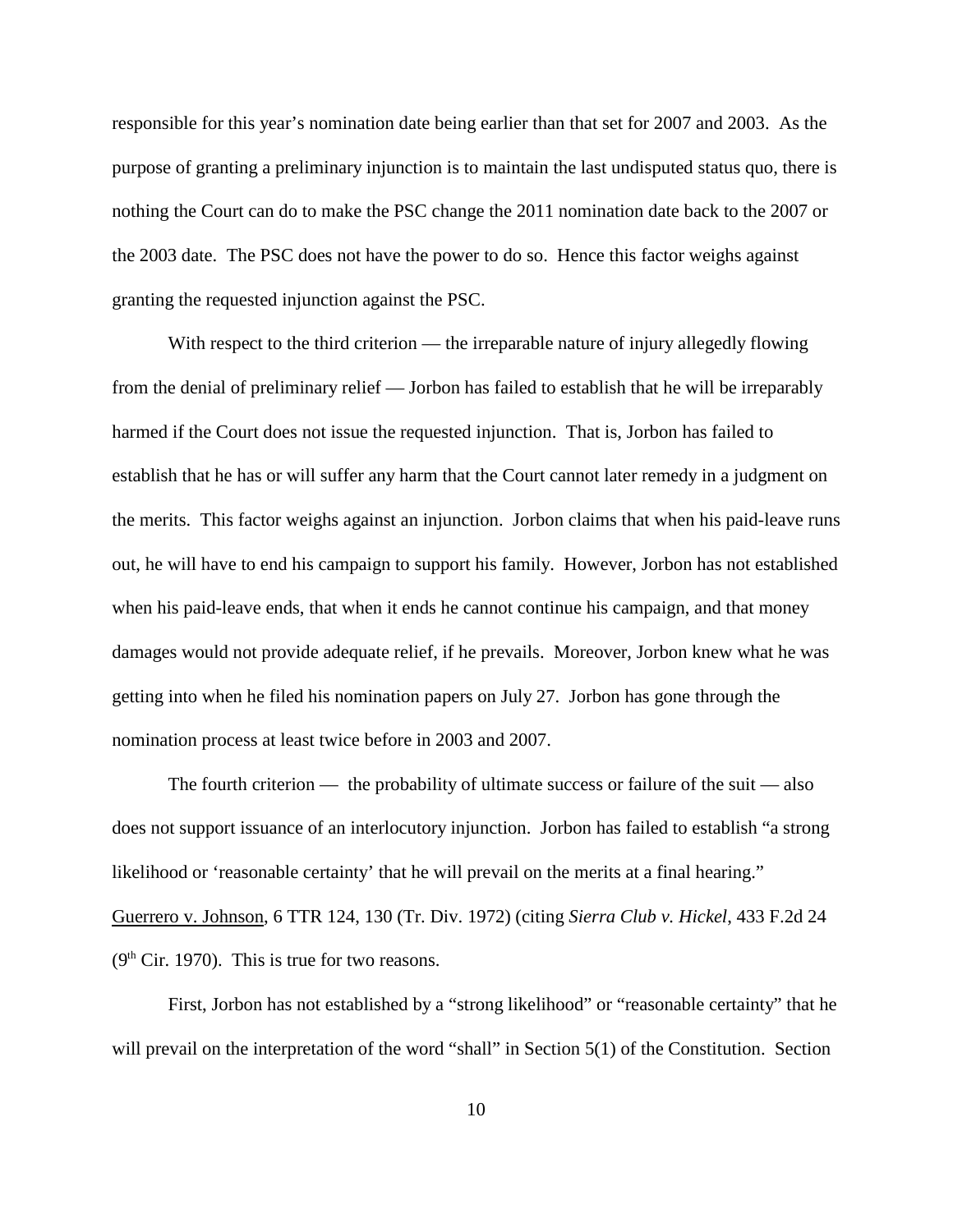responsible for this year's nomination date being earlier than that set for 2007 and 2003. As the purpose of granting a preliminary injunction is to maintain the last undisputed status quo, there is nothing the Court can do to make the PSC change the 2011 nomination date back to the 2007 or the 2003 date. The PSC does not have the power to do so. Hence this factor weighs against granting the requested injunction against the PSC.

With respect to the third criterion — the irreparable nature of injury allegedly flowing from the denial of preliminary relief — Jorbon has failed to establish that he will be irreparably harmed if the Court does not issue the requested injunction. That is, Jorbon has failed to establish that he has or will suffer any harm that the Court cannot later remedy in a judgment on the merits. This factor weighs against an injunction. Jorbon claims that when his paid-leave runs out, he will have to end his campaign to support his family. However, Jorbon has not established when his paid-leave ends, that when it ends he cannot continue his campaign, and that money damages would not provide adequate relief, if he prevails. Moreover, Jorbon knew what he was getting into when he filed his nomination papers on July 27. Jorbon has gone through the nomination process at least twice before in 2003 and 2007.

The fourth criterion — the probability of ultimate success or failure of the suit — also does not support issuance of an interlocutory injunction. Jorbon has failed to establish "a strong likelihood or 'reasonable certainty' that he will prevail on the merits at a final hearing." Guerrero v. Johnson, 6 TTR 124, 130 (Tr. Div. 1972) (citing *Sierra Club v. Hickel*, 433 F.2d 24  $(9<sup>th</sup> Cir. 1970)$ . This is true for two reasons.

First, Jorbon has not established by a "strong likelihood" or "reasonable certainty" that he will prevail on the interpretation of the word "shall" in Section 5(1) of the Constitution. Section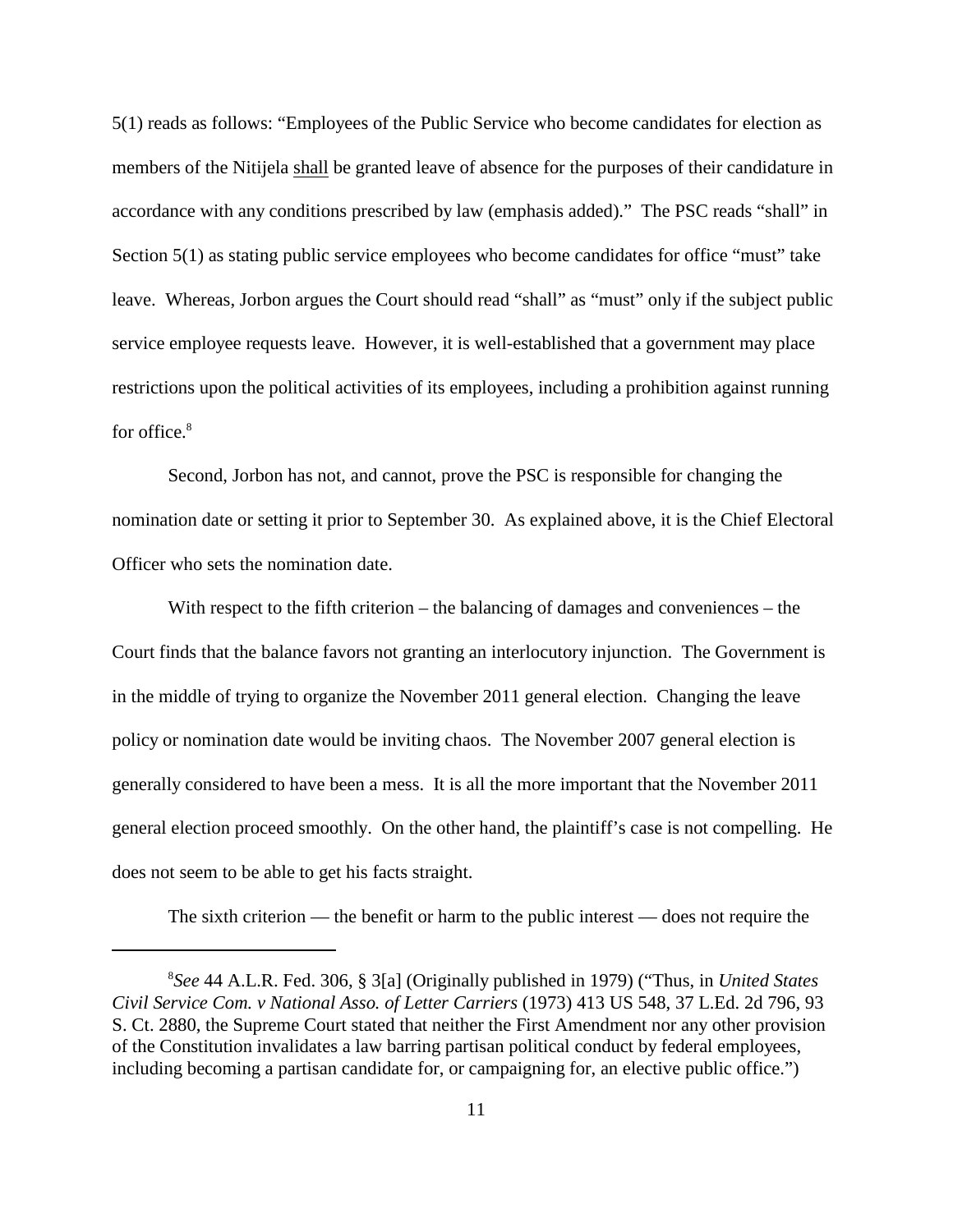5(1) reads as follows: "Employees of the Public Service who become candidates for election as members of the Nitijela shall be granted leave of absence for the purposes of their candidature in accordance with any conditions prescribed by law (emphasis added)." The PSC reads "shall" in Section 5(1) as stating public service employees who become candidates for office "must" take leave. Whereas, Jorbon argues the Court should read "shall" as "must" only if the subject public service employee requests leave. However, it is well-established that a government may place restrictions upon the political activities of its employees, including a prohibition against running for office.<sup>8</sup>

Second, Jorbon has not, and cannot, prove the PSC is responsible for changing the nomination date or setting it prior to September 30. As explained above, it is the Chief Electoral Officer who sets the nomination date.

With respect to the fifth criterion – the balancing of damages and conveniences – the Court finds that the balance favors not granting an interlocutory injunction. The Government is in the middle of trying to organize the November 2011 general election. Changing the leave policy or nomination date would be inviting chaos. The November 2007 general election is generally considered to have been a mess. It is all the more important that the November 2011 general election proceed smoothly. On the other hand, the plaintiff's case is not compelling. He does not seem to be able to get his facts straight.

The sixth criterion — the benefit or harm to the public interest — does not require the

*See* 44 A.L.R. Fed. 306, § 3[a] (Originally published in 1979) ("Thus, in *United States* <sup>8</sup> *Civil Service Com. v National Asso. of Letter Carriers* (1973) 413 US 548, 37 L.Ed. 2d 796, 93 S. Ct. 2880, the Supreme Court stated that neither the First Amendment nor any other provision of the Constitution invalidates a law barring partisan political conduct by federal employees, including becoming a partisan candidate for, or campaigning for, an elective public office.")